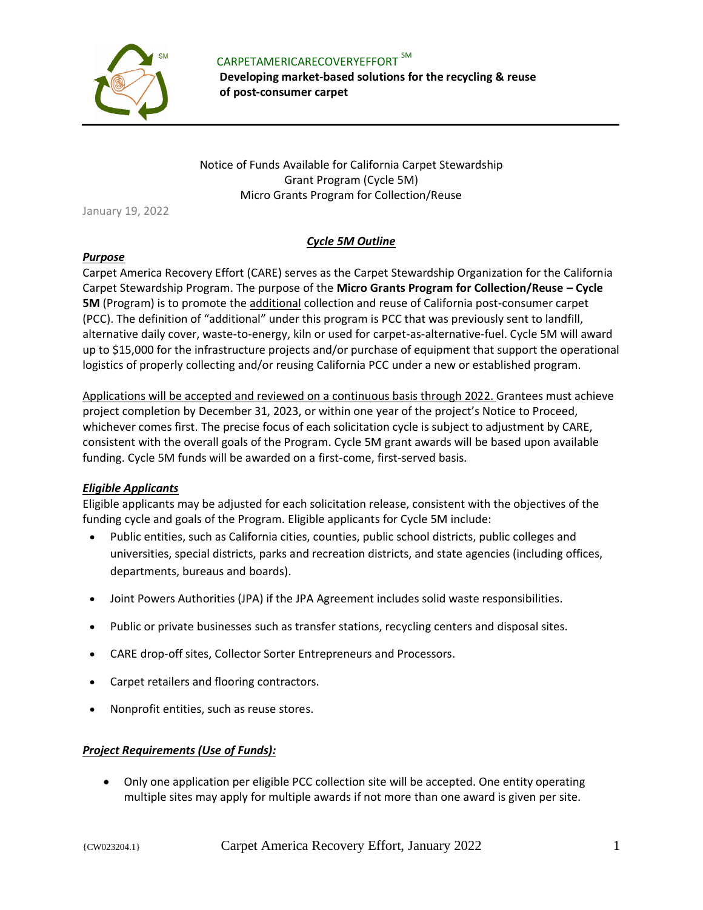

 CARPETAMERICARECOVERYEFFORT SM **Developing market-based solutions for the recycling & reuse of post-consumer carpet** 

Notice of Funds Available for California Carpet Stewardship Grant Program (Cycle 5M) Micro Grants Program for Collection/Reuse

January 19, 2022

# *Cycle 5M Outline*

#### *Purpose*

Carpet America Recovery Effort (CARE) serves as the Carpet Stewardship Organization for the California Carpet Stewardship Program. The purpose of the **Micro Grants Program for Collection/Reuse – Cycle 5M** (Program) is to promote the additional collection and reuse of California post-consumer carpet (PCC). The definition of "additional" under this program is PCC that was previously sent to landfill, alternative daily cover, waste-to-energy, kiln or used for carpet-as-alternative-fuel. Cycle 5M will award up to \$15,000 for the infrastructure projects and/or purchase of equipment that support the operational logistics of properly collecting and/or reusing California PCC under a new or established program.

Applications will be accepted and reviewed on a continuous basis through 2022. Grantees must achieve project completion by December 31, 2023, or within one year of the project's Notice to Proceed, whichever comes first. The precise focus of each solicitation cycle is subject to adjustment by CARE, consistent with the overall goals of the Program. Cycle 5M grant awards will be based upon available funding. Cycle 5M funds will be awarded on a first-come, first-served basis.

#### *Eligible Applicants*

Eligible applicants may be adjusted for each solicitation release, consistent with the objectives of the funding cycle and goals of the Program. Eligible applicants for Cycle 5M include:

- Public entities, such as California cities, counties, public school districts, public colleges and universities, special districts, parks and recreation districts, and state agencies (including offices, departments, bureaus and boards).
- Joint Powers Authorities (JPA) if the JPA Agreement includes solid waste responsibilities.
- Public or private businesses such as transfer stations, recycling centers and disposal sites.
- CARE drop-off sites, Collector Sorter Entrepreneurs and Processors.
- Carpet retailers and flooring contractors.
- Nonprofit entities, such as reuse stores.

#### *Project Requirements (Use of Funds):*

• Only one application per eligible PCC collection site will be accepted. One entity operating multiple sites may apply for multiple awards if not more than one award is given per site.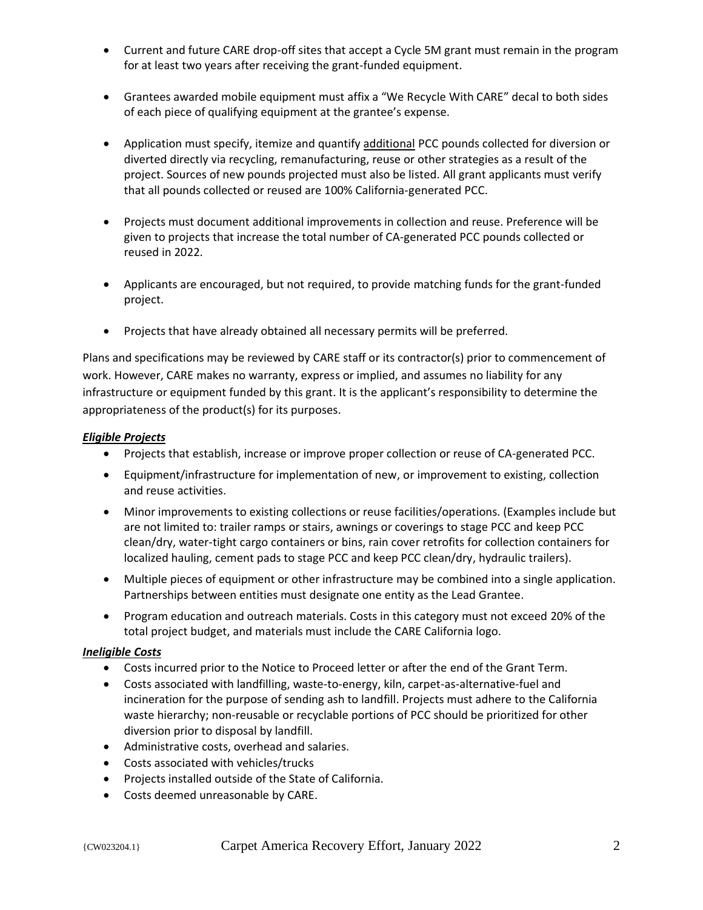- Current and future CARE drop-off sites that accept a Cycle 5M grant must remain in the program for at least two years after receiving the grant-funded equipment.
- Grantees awarded mobile equipment must affix a "We Recycle With CARE" decal to both sides of each piece of qualifying equipment at the grantee's expense.
- Application must specify, itemize and quantify additional PCC pounds collected for diversion or diverted directly via recycling, remanufacturing, reuse or other strategies as a result of the project. Sources of new pounds projected must also be listed. All grant applicants must verify that all pounds collected or reused are 100% California-generated PCC.
- Projects must document additional improvements in collection and reuse. Preference will be given to projects that increase the total number of CA-generated PCC pounds collected or reused in 2022.
- Applicants are encouraged, but not required, to provide matching funds for the grant-funded project.
- Projects that have already obtained all necessary permits will be preferred.

Plans and specifications may be reviewed by CARE staff or its contractor(s) prior to commencement of work. However, CARE makes no warranty, express or implied, and assumes no liability for any infrastructure or equipment funded by this grant. It is the applicant's responsibility to determine the appropriateness of the product(s) for its purposes.

### *Eligible Projects*

- Projects that establish, increase or improve proper collection or reuse of CA-generated PCC.
- Equipment/infrastructure for implementation of new, or improvement to existing, collection and reuse activities.
- Minor improvements to existing collections or reuse facilities/operations. (Examples include but are not limited to: trailer ramps or stairs, awnings or coverings to stage PCC and keep PCC clean/dry, water-tight cargo containers or bins, rain cover retrofits for collection containers for localized hauling, cement pads to stage PCC and keep PCC clean/dry, hydraulic trailers).
- Multiple pieces of equipment or other infrastructure may be combined into a single application. Partnerships between entities must designate one entity as the Lead Grantee.
- Program education and outreach materials. Costs in this category must not exceed 20% of the total project budget, and materials must include the CARE California logo.

# *Ineligible Costs*

- Costs incurred prior to the Notice to Proceed letter or after the end of the Grant Term.
- Costs associated with landfilling, waste-to-energy, kiln, carpet-as-alternative-fuel and incineration for the purpose of sending ash to landfill. Projects must adhere to the California waste hierarchy; non-reusable or recyclable portions of PCC should be prioritized for other diversion prior to disposal by landfill.
- Administrative costs, overhead and salaries.
- Costs associated with vehicles/trucks
- Projects installed outside of the State of California.
- Costs deemed unreasonable by CARE.

#### {CW023204.1} Carpet America Recovery Effort, January 2022 2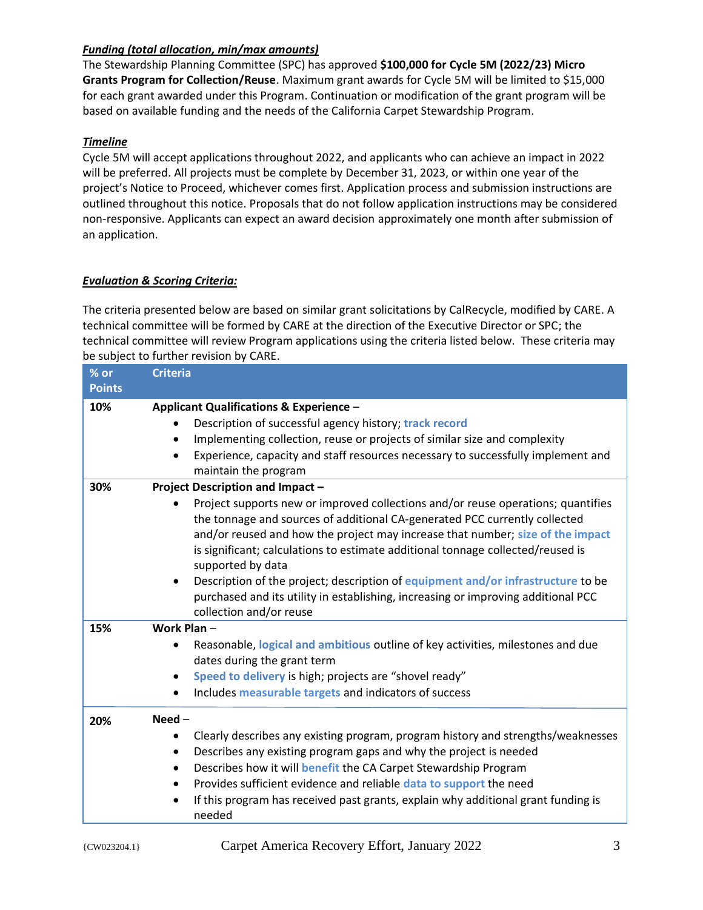# *Funding (total allocation, min/max amounts)*

The Stewardship Planning Committee (SPC) has approved **\$100,000 for Cycle 5M (2022/23) Micro Grants Program for Collection/Reuse**. Maximum grant awards for Cycle 5M will be limited to \$15,000 for each grant awarded under this Program. Continuation or modification of the grant program will be based on available funding and the needs of the California Carpet Stewardship Program.

# *Timeline*

Cycle 5M will accept applications throughout 2022, and applicants who can achieve an impact in 2022 will be preferred. All projects must be complete by December 31, 2023, or within one year of the project's Notice to Proceed, whichever comes first. Application process and submission instructions are outlined throughout this notice. Proposals that do not follow application instructions may be considered non-responsive. Applicants can expect an award decision approximately one month after submission of an application.

# *Evaluation & Scoring Criteria:*

The criteria presented below are based on similar grant solicitations by CalRecycle, modified by CARE. A technical committee will be formed by CARE at the direction of the Executive Director or SPC; the technical committee will review Program applications using the criteria listed below. These criteria may be subject to further revision by CARE.

| $%$ or<br><b>Points</b> | <b>Criteria</b>                                                                                                                                                                                                                                                                                                                                                                                                                                                                                                                                                                                  |
|-------------------------|--------------------------------------------------------------------------------------------------------------------------------------------------------------------------------------------------------------------------------------------------------------------------------------------------------------------------------------------------------------------------------------------------------------------------------------------------------------------------------------------------------------------------------------------------------------------------------------------------|
| 10%                     | <b>Applicant Qualifications &amp; Experience -</b><br>Description of successful agency history; track record<br>Implementing collection, reuse or projects of similar size and complexity<br>Experience, capacity and staff resources necessary to successfully implement and<br>maintain the program                                                                                                                                                                                                                                                                                            |
| 30%                     | Project Description and Impact -<br>Project supports new or improved collections and/or reuse operations; quantifies<br>the tonnage and sources of additional CA-generated PCC currently collected<br>and/or reused and how the project may increase that number; size of the impact<br>is significant; calculations to estimate additional tonnage collected/reused is<br>supported by data<br>Description of the project; description of equipment and/or infrastructure to be<br>purchased and its utility in establishing, increasing or improving additional PCC<br>collection and/or reuse |
| 15%                     | Work Plan-<br>Reasonable, logical and ambitious outline of key activities, milestones and due<br>dates during the grant term<br>Speed to delivery is high; projects are "shovel ready"<br>$\bullet$<br>Includes measurable targets and indicators of success                                                                                                                                                                                                                                                                                                                                     |
| 20%                     | $Need -$<br>Clearly describes any existing program, program history and strengths/weaknesses<br>Describes any existing program gaps and why the project is needed<br>Describes how it will benefit the CA Carpet Stewardship Program<br>Provides sufficient evidence and reliable data to support the need<br>If this program has received past grants, explain why additional grant funding is<br>needed                                                                                                                                                                                        |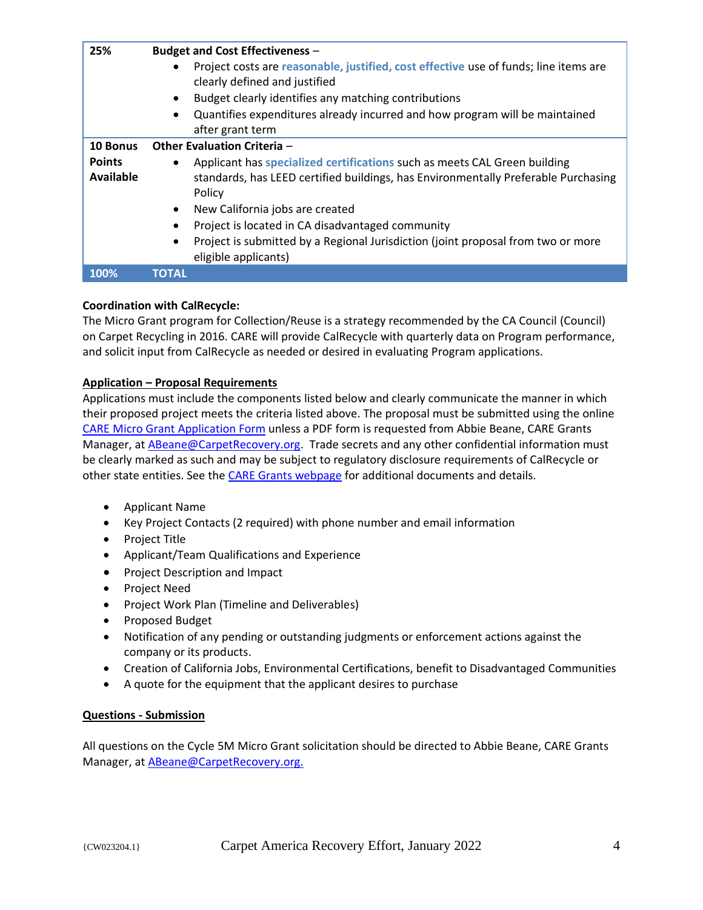| 25%                        | <b>Budget and Cost Effectiveness -</b>                                                                                                                                    |
|----------------------------|---------------------------------------------------------------------------------------------------------------------------------------------------------------------------|
|                            | Project costs are reasonable, justified, cost effective use of funds; line items are<br>clearly defined and justified                                                     |
|                            | Budget clearly identifies any matching contributions                                                                                                                      |
|                            | Quantifies expenditures already incurred and how program will be maintained<br>$\bullet$                                                                                  |
|                            | after grant term                                                                                                                                                          |
| 10 Bonus                   | <b>Other Evaluation Criteria -</b>                                                                                                                                        |
| <b>Points</b><br>Available | Applicant has specialized certifications such as meets CAL Green building<br>standards, has LEED certified buildings, has Environmentally Preferable Purchasing<br>Policy |
|                            | New California jobs are created<br>$\bullet$                                                                                                                              |
|                            | Project is located in CA disadvantaged community                                                                                                                          |
|                            | Project is submitted by a Regional Jurisdiction (joint proposal from two or more<br>$\bullet$<br>eligible applicants)                                                     |
| 100%                       | ΤΟΤΑΙ                                                                                                                                                                     |

### **Coordination with CalRecycle:**

The Micro Grant program for Collection/Reuse is a strategy recommended by the CA Council (Council) on Carpet Recycling in 2016. CARE will provide CalRecycle with quarterly data on Program performance, and solicit input from CalRecycle as needed or desired in evaluating Program applications.

#### **Application – Proposal Requirements**

Applications must include the components listed below and clearly communicate the manner in which their proposed project meets the criteria listed above. The proposal must be submitted using the online [CARE Micro Grant Application Form](https://carpetrecovery.org/california/ca-grants/micro-grant-application-form/) unless a PDF form is requested from Abbie Beane, CARE Grants Manager, at [ABeane@CarpetRecovery.org.](mailto:abeane@carpetrecovery.org) Trade secrets and any other confidential information must be clearly marked as such and may be subject to regulatory disclosure requirements of CalRecycle or other state entities. See th[e CARE Grants webpage](https://carpetrecovery.org/california/ca-grants/) for additional documents and details.

- Applicant Name
- Key Project Contacts (2 required) with phone number and email information
- Project Title
- Applicant/Team Qualifications and Experience
- Project Description and Impact
- Project Need
- Project Work Plan (Timeline and Deliverables)
- Proposed Budget
- Notification of any pending or outstanding judgments or enforcement actions against the company or its products.
- Creation of California Jobs, Environmental Certifications, benefit to Disadvantaged Communities
- A quote for the equipment that the applicant desires to purchase

#### **Questions - Submission**

All questions on the Cycle 5M Micro Grant solicitation should be directed to Abbie Beane, CARE Grants Manager, at [ABeane@CarpetRecovery.org.](mailto:abeane@carpetrecovery.org)